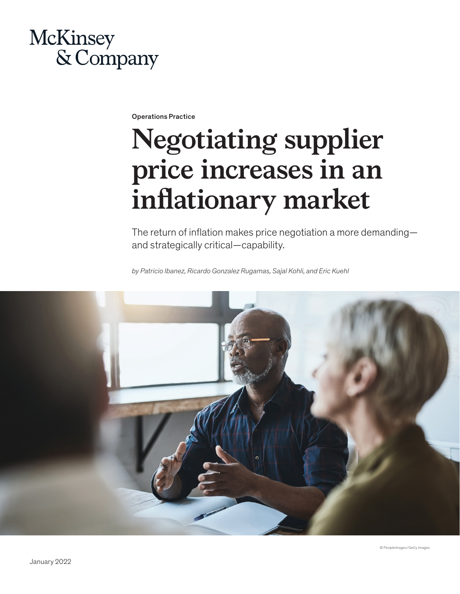## McKinsey & Company

Operations Practice

# **Negotiating supplier price increases in an inflationary market**

The return of inflation makes price negotiation a more demanding and strategically critical—capability.

*by Patricio Ibanez, Ricardo Gonzalez Rugamas, Sajal Kohli, and Eric Kuehl*

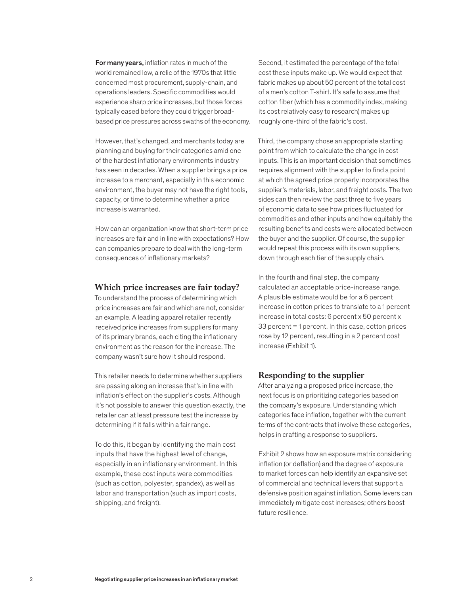For many years, inflation rates in much of the world remained low, a relic of the 1970s that little concerned most procurement, supply-chain, and operations leaders. Specific commodities would experience sharp price increases, but those forces typically eased before they could trigger broadbased price pressures across swaths of the economy.

However, that's changed, and merchants today are planning and buying for their categories amid one of the hardest inflationary environments industry has seen in decades. When a supplier brings a price increase to a merchant, especially in this economic environment, the buyer may not have the right tools, capacity, or time to determine whether a price increase is warranted.

How can an organization know that short-term price increases are fair and in line with expectations? How can companies prepare to deal with the long-term consequences of inflationary markets?

#### **Which price increases are fair today?**

To understand the process of determining which price increases are fair and which are not, consider an example. A leading apparel retailer recently received price increases from suppliers for many of its primary brands, each citing the inflationary environment as the reason for the increase. The company wasn't sure how it should respond.

This retailer needs to determine whether suppliers are passing along an increase that's in line with inflation's effect on the supplier's costs. Although it's not possible to answer this question exactly, the retailer can at least pressure test the increase by determining if it falls within a fair range.

To do this, it began by identifying the main cost inputs that have the highest level of change, especially in an inflationary environment. In this example, these cost inputs were commodities (such as cotton, polyester, spandex), as well as labor and transportation (such as import costs, shipping, and freight).

Second, it estimated the percentage of the total cost these inputs make up. We would expect that fabric makes up about 50 percent of the total cost of a men's cotton T-shirt. It's safe to assume that cotton fiber (which has a commodity index, making its cost relatively easy to research) makes up roughly one-third of the fabric's cost.

Third, the company chose an appropriate starting point from which to calculate the change in cost inputs. This is an important decision that sometimes requires alignment with the supplier to find a point at which the agreed price properly incorporates the supplier's materials, labor, and freight costs. The two sides can then review the past three to five years of economic data to see how prices fluctuated for commodities and other inputs and how equitably the resulting benefits and costs were allocated between the buyer and the supplier. Of course, the supplier would repeat this process with its own suppliers, down through each tier of the supply chain.

In the fourth and final step, the company calculated an acceptable price-increase range. A plausible estimate would be for a 6 percent increase in cotton prices to translate to a 1 percent increase in total costs: 6 percent x 50 percent x 33 percent = 1 percent. In this case, cotton prices rose by 12 percent, resulting in a 2 percent cost increase (Exhibit 1).

#### **Responding to the supplier**

After analyzing a proposed price increase, the next focus is on prioritizing categories based on the company's exposure. Understanding which categories face inflation, together with the current terms of the contracts that involve these categories, helps in crafting a response to suppliers.

Exhibit 2 shows how an exposure matrix considering inflation (or deflation) and the degree of exposure to market forces can help identify an expansive set of commercial and technical levers that support a defensive position against inflation. Some levers can immediately mitigate cost increases; others boost future resilience.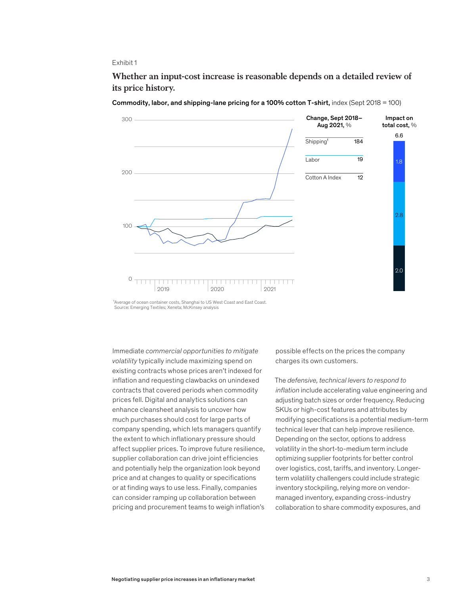#### Exhibit 1

Whether an input-cost increase is reasonable depends on a detailed review of **Whether an input-cost increase is reasonable depends on a detailed review of**  its price history. **its price history.**



Commodity, labor, and shipping-lane pricing for a 100% cotton T-shirt, index (Sept 2018 = 100)

Immediate *commercial opportunities to mitigate volatility* typically include maximizing spend on existing contracts whose prices aren't indexed for inflation and requesting clawbacks on unindexed contracts that covered periods when commodity prices fell. Digital and analytics solutions can enhance cleansheet analysis to uncover how much purchases should cost for large parts of company spending, which lets managers quantify the extent to which inflationary pressure should affect supplier prices. To improve future resilience, supplier collaboration can drive joint efficiencies and potentially help the organization look beyond price and at changes to quality or specifications or at finding ways to use less. Finally, companies can consider ramping up collaboration between pricing and procurement teams to weigh inflation's

possible effects on the prices the company charges its own customers.

The *defensive, technical levers to respond to inflation* include accelerating value engineering and adjusting batch sizes or order frequency. Reducing SKUs or high-cost features and attributes by modifying specifications is a potential medium-term technical lever that can help improve resilience. Depending on the sector, options to address volatility in the short-to-medium term include optimizing supplier footprints for better control over logistics, cost, tariffs, and inventory. Longerterm volatility challengers could include strategic inventory stockpiling, relying more on vendormanaged inventory, expanding cross-industry collaboration to share commodity exposures, and

<sup>&</sup>lt;sup>1</sup> Average of ocean container costs, Shanghai to US West Coast and East Coast. Source: Emerging Textiles; Xeneta; McKinsey analysis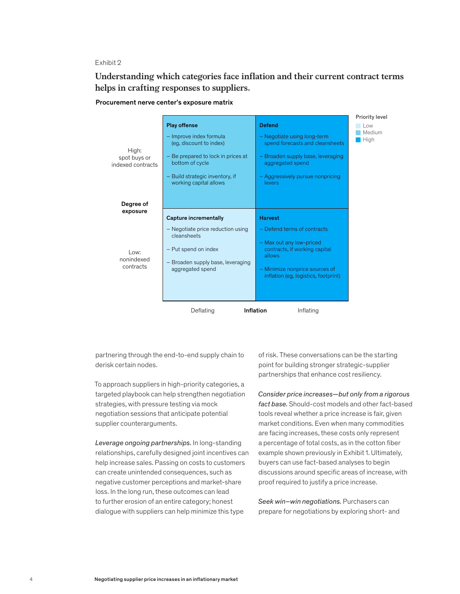#### Exhibit 2

Understanding which categories face inflation and their current contract terms helps in crafting responses to suppliers. **helps in crafting responses to suppliers.**





partnering through the end-to-end supply chain to derisk certain nodes.

To approach suppliers in high-priority categories, a targeted playbook can help strengthen negotiation strategies, with pressure testing via mock negotiation sessions that anticipate potential supplier counterarguments.

*Leverage ongoing partnerships.* In long-standing relationships, carefully designed joint incentives can help increase sales. Passing on costs to customers can create unintended consequences, such as negative customer perceptions and market-share loss. In the long run, these outcomes can lead to further erosion of an entire category; honest dialogue with suppliers can help minimize this type

of risk. These conversations can be the starting point for building stronger strategic-supplier partnerships that enhance cost resiliency.

*Consider price increases—but only from a rigorous fact base.* Should-cost models and other fact-based tools reveal whether a price increase is fair, given market conditions. Even when many commodities are facing increases, these costs only represent a percentage of total costs, as in the cotton fiber example shown previously in Exhibit 1. Ultimately, buyers can use fact-based analyses to begin discussions around specific areas of increase, with proof required to justify a price increase.

*Seek win–win negotiations.* Purchasers can prepare for negotiations by exploring short- and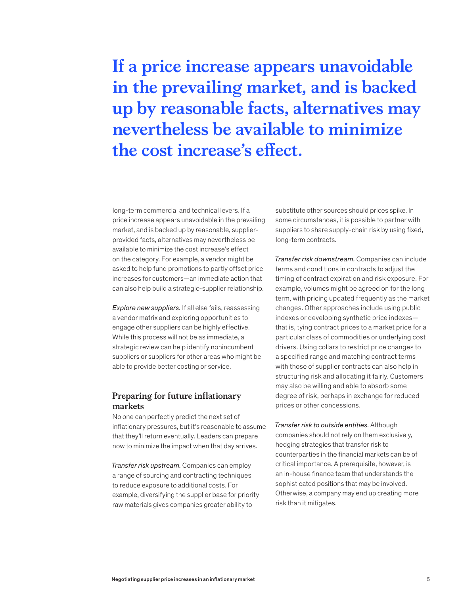## **If a price increase appears unavoidable in the prevailing market, and is backed up by reasonable facts, alternatives may nevertheless be available to minimize the cost increase's effect.**

long-term commercial and technical levers. If a price increase appears unavoidable in the prevailing market, and is backed up by reasonable, supplierprovided facts, alternatives may nevertheless be available to minimize the cost increase's effect on the category. For example, a vendor might be asked to help fund promotions to partly offset price increases for customers—an immediate action that can also help build a strategic-supplier relationship.

*Explore new suppliers.* If all else fails, reassessing a vendor matrix and exploring opportunities to engage other suppliers can be highly effective. While this process will not be as immediate, a strategic review can help identify nonincumbent suppliers or suppliers for other areas who might be able to provide better costing or service.

### **Preparing for future inflationary markets**

No one can perfectly predict the next set of inflationary pressures, but it's reasonable to assume that they'll return eventually. Leaders can prepare now to minimize the impact when that day arrives.

*Transfer risk upstream.* Companies can employ a range of sourcing and contracting techniques to reduce exposure to additional costs. For example, diversifying the supplier base for priority raw materials gives companies greater ability to

substitute other sources should prices spike. In some circumstances, it is possible to partner with suppliers to share supply-chain risk by using fixed, long-term contracts.

*Transfer risk downstream.* Companies can include terms and conditions in contracts to adjust the timing of contract expiration and risk exposure. For example, volumes might be agreed on for the long term, with pricing updated frequently as the market changes. Other approaches include using public indexes or developing synthetic price indexes that is, tying contract prices to a market price for a particular class of commodities or underlying cost drivers. Using collars to restrict price changes to a specified range and matching contract terms with those of supplier contracts can also help in structuring risk and allocating it fairly. Customers may also be willing and able to absorb some degree of risk, perhaps in exchange for reduced prices or other concessions.

*Transfer risk to outside entities.* Although companies should not rely on them exclusively, hedging strategies that transfer risk to counterparties in the financial markets can be of critical importance. A prerequisite, however, is an in-house finance team that understands the sophisticated positions that may be involved. Otherwise, a company may end up creating more risk than it mitigates.